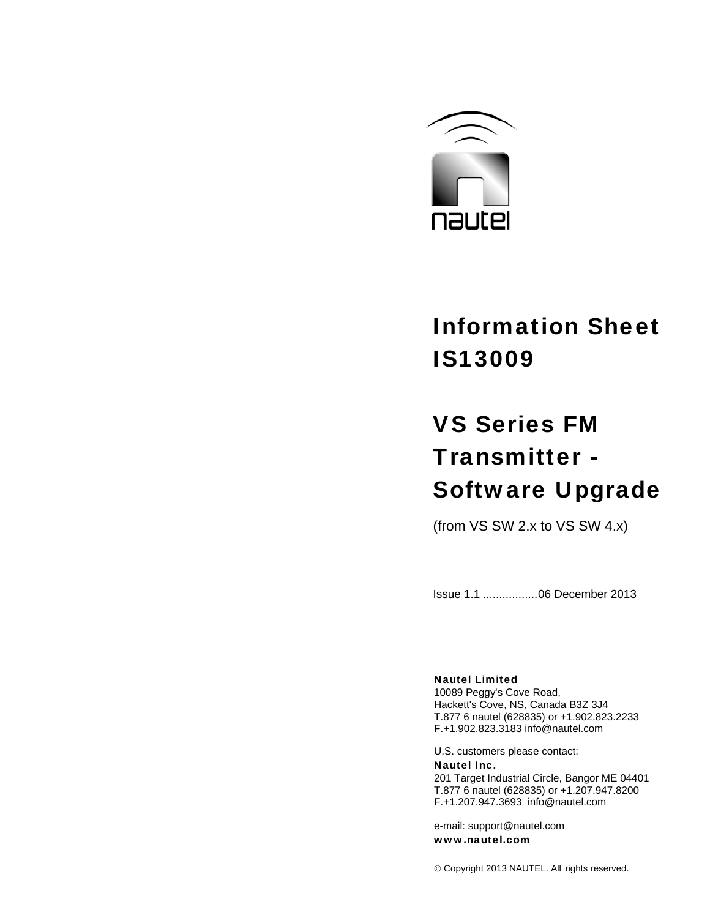

# Information Sheet IS13009

# VS Series FM Transmitter - Software Upgrade

(from VS SW 2.x to VS SW 4.x)

Issue 1.1 .................06 December 2013

# Nautel Limited

10089 Peggy's Cove Road, Hackett's Cove, NS, Canada B3Z 3J4 T.877 6 nautel (628835) or +1.902.823.2233 F.+1.902.823.3183 info@nautel.com

U.S. customers please contact: Nautel Inc. 201 Target Industrial Circle, Bangor ME 04401 T.877 6 nautel (628835) or +1.207.947.8200 F.+1.207.947.3693 info@nautel.com

e-mail: support@nautel.com www.nautel.com

© Copyright 2013 NAUTEL. All rights reserved.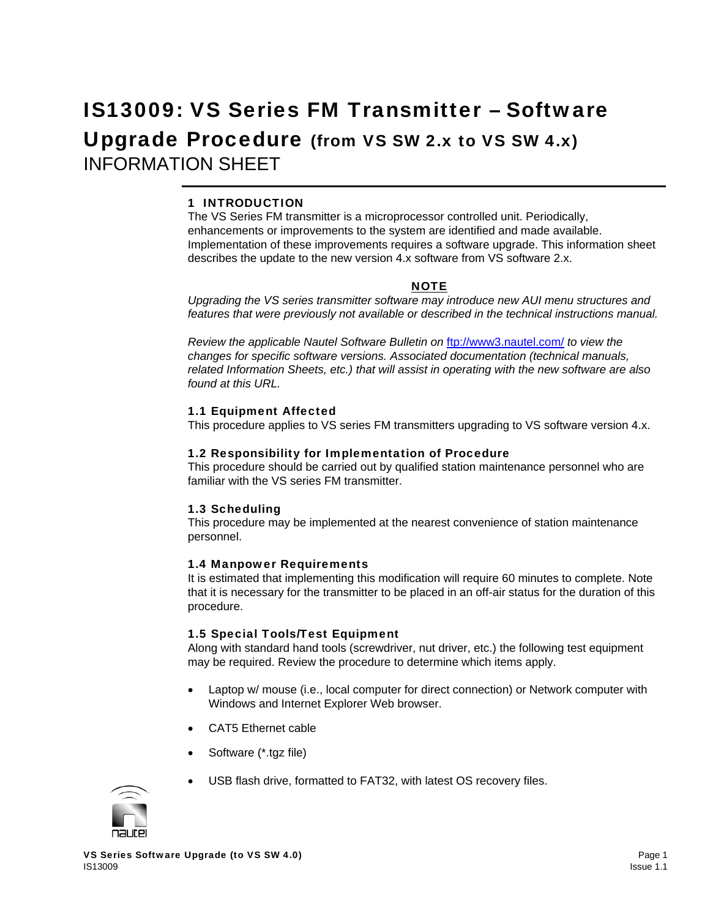# IS13009: VS Series FM Transmitter – Software Upgrade Procedure (from VS SW 2.x to VS SW 4.x) INFORMATION SHEET

# 1 INTRODUCTION

The VS Series FM transmitter is a microprocessor controlled unit. Periodically, enhancements or improvements to the system are identified and made available. Implementation of these improvements requires a software upgrade. This information sheet describes the update to the new version 4.x software from VS software 2.x.

#### NOTE

*Upgrading the VS series transmitter software may introduce new AUI menu structures and features that were previously not available or described in the technical instructions manual.* 

*Review the applicable Nautel Software Bulletin on* ftp://www3.nautel.com/ *to view the changes for specific software versions. Associated documentation (technical manuals, related Information Sheets, etc.) that will assist in operating with the new software are also found at this URL.* 

#### 1.1 Equipment Affected

This procedure applies to VS series FM transmitters upgrading to VS software version 4.x.

#### 1.2 Responsibility for Implementation of Procedure

This procedure should be carried out by qualified station maintenance personnel who are familiar with the VS series FM transmitter.

# 1.3 Scheduling

This procedure may be implemented at the nearest convenience of station maintenance personnel.

# 1.4 Manpower Requirements

It is estimated that implementing this modification will require 60 minutes to complete. Note that it is necessary for the transmitter to be placed in an off-air status for the duration of this procedure.

# 1.5 Special Tools/Test Equipment

Along with standard hand tools (screwdriver, nut driver, etc.) the following test equipment may be required. Review the procedure to determine which items apply.

- Laptop w/ mouse (i.e., local computer for direct connection) or Network computer with Windows and Internet Explorer Web browser.
- CAT5 Ethernet cable
- Software (\*.tgz file)
- USB flash drive, formatted to FAT32, with latest OS recovery files.

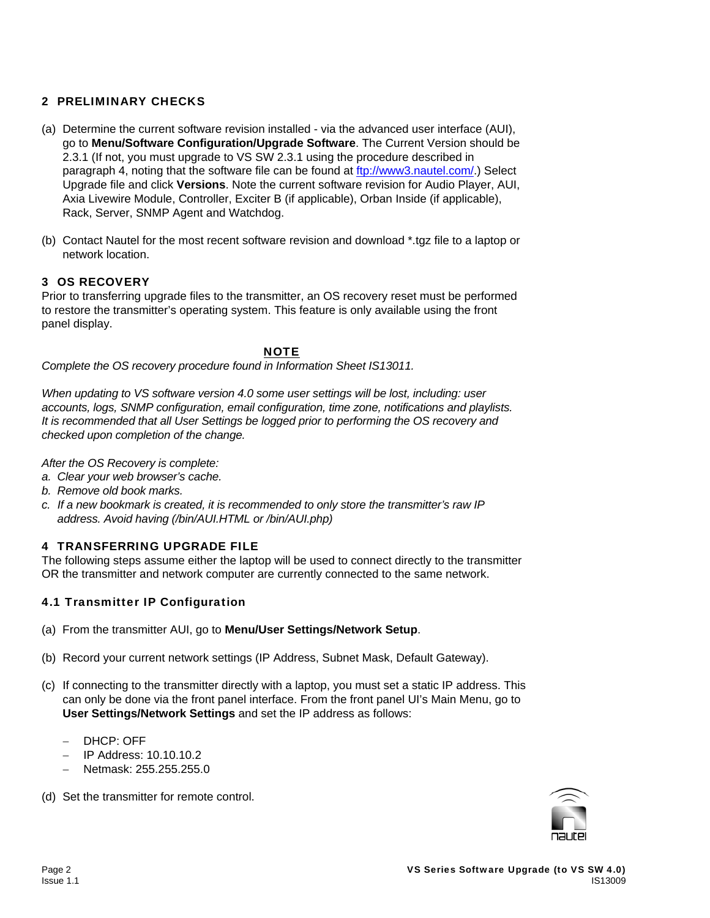# 2 PRELIMINARY CHECKS

- (a) Determine the current software revision installed via the advanced user interface (AUI), go to **Menu/Software Configuration/Upgrade Software**. The Current Version should be 2.3.1 (If not, you must upgrade to VS SW 2.3.1 using the procedure described in paragraph 4, noting that the software file can be found at ftp://www3.nautel.com/.) Select Upgrade file and click **Versions**. Note the current software revision for Audio Player, AUI, Axia Livewire Module, Controller, Exciter B (if applicable), Orban Inside (if applicable), Rack, Server, SNMP Agent and Watchdog.
- (b) Contact Nautel for the most recent software revision and download \*.tgz file to a laptop or network location.

# 3 OS RECOVERY

Prior to transferring upgrade files to the transmitter, an OS recovery reset must be performed to restore the transmitter's operating system. This feature is only available using the front panel display.

**NOTE** 

*Complete the OS recovery procedure found in Information Sheet IS13011.* 

*When updating to VS software version 4.0 some user settings will be lost, including: user accounts, logs, SNMP configuration, email configuration, time zone, notifications and playlists. It is recommended that all User Settings be logged prior to performing the OS recovery and checked upon completion of the change.*

*After the OS Recovery is complete:* 

- *a. Clear your web browser's cache.*
- *b. Remove old book marks.*
- *c. If a new bookmark is created, it is recommended to only store the transmitter's raw IP address. Avoid having (/bin/AUI.HTML or /bin/AUI.php)*

# 4 TRANSFERRING UPGRADE FILE

The following steps assume either the laptop will be used to connect directly to the transmitter OR the transmitter and network computer are currently connected to the same network.

# 4.1 Transmitter IP Configuration

- (a) From the transmitter AUI, go to **Menu/User Settings/Network Setup**.
- (b) Record your current network settings (IP Address, Subnet Mask, Default Gateway).
- (c) If connecting to the transmitter directly with a laptop, you must set a static IP address. This can only be done via the front panel interface. From the front panel UI's Main Menu, go to **User Settings/Network Settings** and set the IP address as follows:
	- − DHCP: OFF
	- − IP Address: 10.10.10.2
	- − Netmask: 255.255.255.0
- (d) Set the transmitter for remote control.

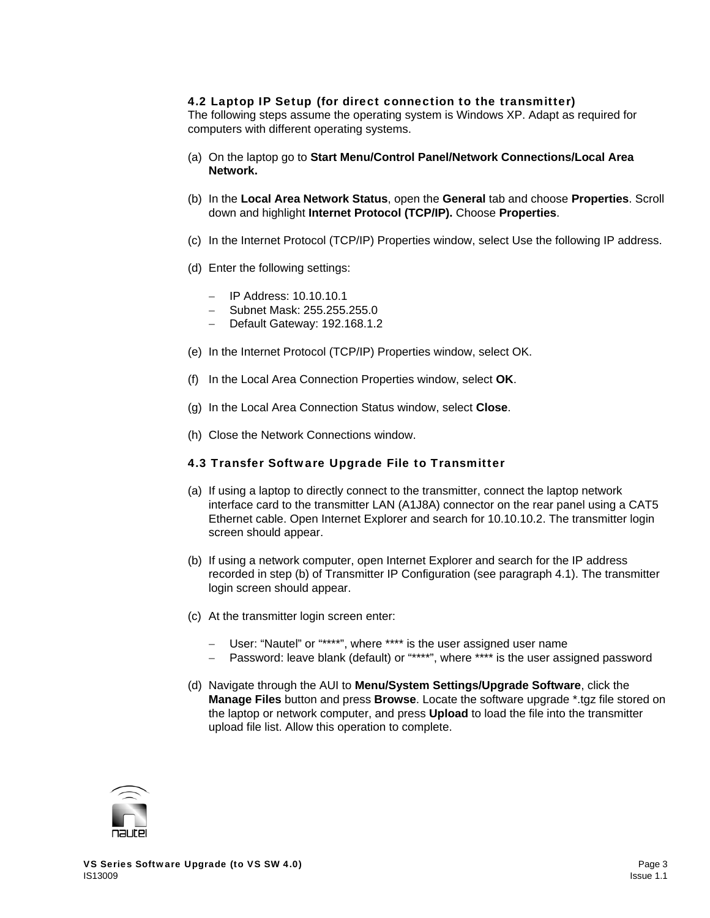# 4.2 Laptop IP Setup (for direct connection to the transmitter)

The following steps assume the operating system is Windows XP. Adapt as required for computers with different operating systems.

- (a) On the laptop go to **Start Menu/Control Panel/Network Connections/Local Area Network.**
- (b) In the **Local Area Network Status**, open the **General** tab and choose **Properties**. Scroll down and highlight **Internet Protocol (TCP/IP).** Choose **Properties**.
- (c) In the Internet Protocol (TCP/IP) Properties window, select Use the following IP address.
- (d) Enter the following settings:
	- − IP Address: 10.10.10.1
	- − Subnet Mask: 255.255.255.0
	- − Default Gateway: 192.168.1.2
- (e) In the Internet Protocol (TCP/IP) Properties window, select OK.
- (f) In the Local Area Connection Properties window, select **OK**.
- (g) In the Local Area Connection Status window, select **Close**.
- (h) Close the Network Connections window.

# 4.3 Transfer Software Upgrade File to Transmitter

- (a) If using a laptop to directly connect to the transmitter, connect the laptop network interface card to the transmitter LAN (A1J8A) connector on the rear panel using a CAT5 Ethernet cable. Open Internet Explorer and search for 10.10.10.2. The transmitter login screen should appear.
- (b) If using a network computer, open Internet Explorer and search for the IP address recorded in step (b) of Transmitter IP Configuration (see paragraph 4.1). The transmitter login screen should appear.
- (c) At the transmitter login screen enter:
	- − User: "Nautel" or "\*\*\*\*", where \*\*\*\* is the user assigned user name
	- − Password: leave blank (default) or "\*\*\*\*", where \*\*\*\* is the user assigned password
- (d) Navigate through the AUI to **Menu/System Settings/Upgrade Software**, click the **Manage Files** button and press **Browse**. Locate the software upgrade \*.tgz file stored on the laptop or network computer, and press **Upload** to load the file into the transmitter upload file list. Allow this operation to complete.